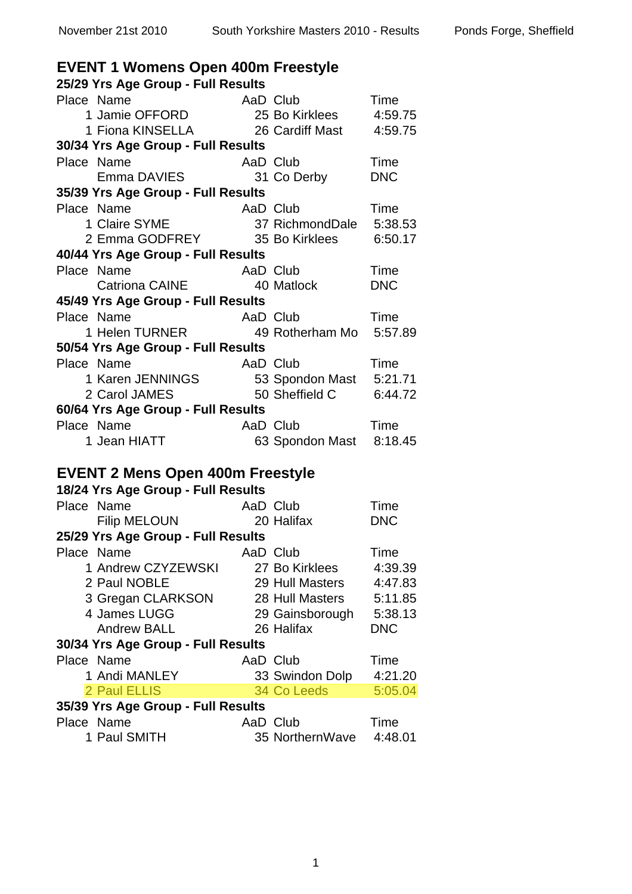| <b>EVENT 1 Womens Open 400m Freestyle</b> |          |                         |            |
|-------------------------------------------|----------|-------------------------|------------|
| 25/29 Yrs Age Group - Full Results        |          |                         |            |
| Place Name                                |          |                         | Time       |
|                                           |          |                         | 4:59.75    |
| 1 Fiona KINSELLA 26 Cardiff Mast 4:59.75  |          |                         |            |
| 30/34 Yrs Age Group - Full Results        |          |                         |            |
| Place Name                                | AaD Club |                         | Time       |
|                                           |          | 31 Co Derby             | <b>DNC</b> |
| 35/39 Yrs Age Group - Full Results        |          |                         |            |
| Place Name<br>1 Claire SYME<br>2 Emma 225 | AaD Club |                         | Time       |
|                                           |          | 37 RichmondDale 5:38.53 |            |
| 2 Emma GODFREY 35 Bo Kirklees 6:50.17     |          |                         |            |
| 40/44 Yrs Age Group - Full Results        |          |                         |            |
| Place Name                                | AaD Club |                         | Time       |
| Catriona CAINE 40 Matlock                 |          |                         | <b>DNC</b> |
| 45/49 Yrs Age Group - Full Results        |          |                         |            |
| Place Name                                | AaD Club |                         | Time       |
| 1 Helen TURNER 49 Rotherham Mo 5:57.89    |          |                         |            |
| 50/54 Yrs Age Group - Full Results        |          |                         |            |
| Place Name                                | AaD Club |                         | Time       |
| 1 Karen JENNINGS<br>2 Carol JAMES         |          | 53 Spondon Mast 5:21.71 |            |
| 2 Carol JAMES                             |          | 50 Sheffield C 6:44.72  |            |
| 60/64 Yrs Age Group - Full Results        |          |                         |            |
| Place Name                                | AaD Club |                         | Time       |
| 1 Jean HIATT                              |          | 63 Spondon Mast         | 8:18.45    |
| <b>EVENT 2 Mens Open 400m Freestyle</b>   |          |                         |            |
| 18/24 Yrs Age Group - Full Results        |          |                         |            |
| Place Name                                | AaD Club |                         | Time       |
| <b>Filip MELOUN</b>                       |          | 20 Halifax              | <b>DNC</b> |
| 25/29 Yrs Age Group - Full Results        |          |                         |            |
| Place Name                                | AaD Club |                         | Time       |
| 1 Andrew CZYZEWSKI                        |          | 27 Bo Kirklees          | 4:39.39    |
| 2 Paul NOBLE                              |          | 29 Hull Masters         | 4:47.83    |
| 3 Gregan CLARKSON                         |          | 28 Hull Masters         | 5:11.85    |
| 4 James LUGG                              |          | 29 Gainsborough         | 5:38.13    |
| <b>Andrew BALL</b>                        |          | 26 Halifax              | <b>DNC</b> |
| 30/34 Yrs Age Group - Full Results        |          |                         |            |
| Place Name                                | AaD Club |                         | Time       |
| 1 Andi MANLEY                             |          | 33 Swindon Dolp         | 4:21.20    |
| 2 Paul ELLIS                              |          | 34 Co Leeds             | 5:05.04    |
| 35/39 Yrs Age Group - Full Results        |          |                         |            |
| Place Name                                | AaD Club |                         | Time       |
| 1 Paul SMITH                              |          | 35 NorthernWave         | 4:48.01    |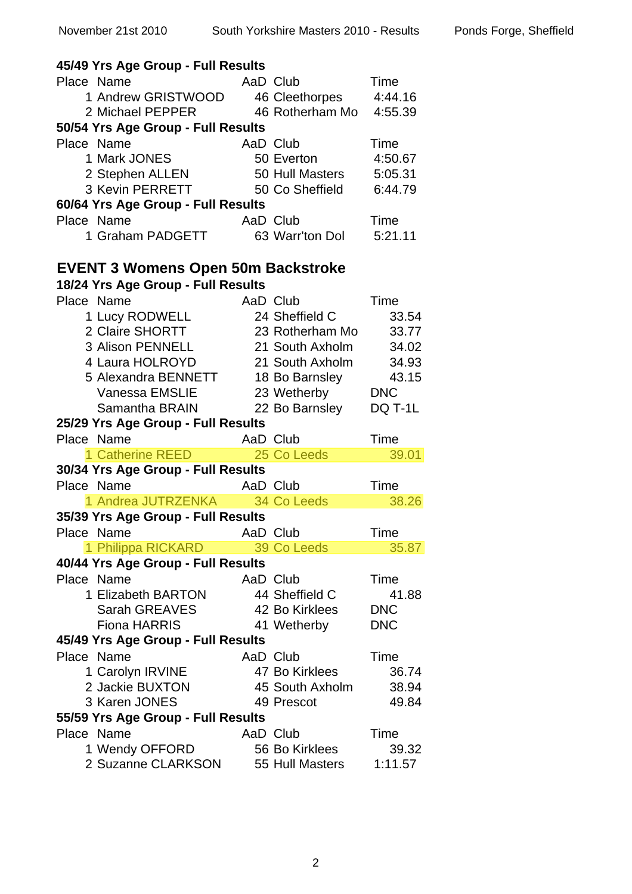| 45/49 Yrs Age Group - Full Results        |                 |                            |
|-------------------------------------------|-----------------|----------------------------|
| Place Name                                | AaD Club        | Time                       |
| 1 Andrew GRISTWOOD                        |                 | 4:44.16<br>46 Cleethorpes  |
| 2 Michael PEPPER                          |                 | 46 Rotherham Mo<br>4:55.39 |
| 50/54 Yrs Age Group - Full Results        |                 |                            |
| Place Name                                | AaD Club        | Time                       |
|                                           |                 |                            |
| 1 Mark JONES                              | 50 Everton      | 4:50.67                    |
| 2 Stephen ALLEN                           |                 | 50 Hull Masters<br>5:05.31 |
| 3 Kevin PERRETT                           |                 | 50 Co Sheffield<br>6:44.79 |
| 60/64 Yrs Age Group - Full Results        |                 |                            |
| Place Name                                | AaD Club        | Time                       |
| 1 Graham PADGETT                          |                 | 63 Warr'ton Dol 5:21.11    |
| <b>EVENT 3 Womens Open 50m Backstroke</b> |                 |                            |
| 18/24 Yrs Age Group - Full Results        |                 |                            |
| Place Name                                | AaD Club        | Time                       |
| 1 Lucy RODWELL                            | 24 Sheffield C  | 33.54                      |
| 2 Claire SHORTT                           | 23 Rotherham Mo | 33.77                      |
| 3 Alison PENNELL                          |                 | 21 South Axholm<br>34.02   |
| 4 Laura HOLROYD                           | 21 South Axholm | 34.93                      |
| 5 Alexandra BENNETT                       |                 | 43.15                      |
| <b>Vanessa EMSLIE</b>                     |                 | 18 Bo Barnsley             |
|                                           |                 | 23 Wetherby DNC            |
| Samantha BRAIN                            |                 | 22 Bo Barnsley<br>DQ T-1L  |
| 25/29 Yrs Age Group - Full Results        |                 |                            |
| Place Name                                | AaD Club        | Time                       |
| 1 Catherine REED <b>Algebra 1</b>         | 25 Co Leeds     | 39.01                      |
| 30/34 Yrs Age Group - Full Results        |                 |                            |
|                                           |                 |                            |
| Place Name                                | AaD Club        | Time                       |
| 1 Andrea JUTRZENKA                        | 34 Co Leeds     | 38.26                      |
| 35/39 Yrs Age Group - Full Results        |                 |                            |
| Place Name                                | AaD Club        | Time                       |
| 1 Philippa RICKARD                        | 39 Co Leeds     | 35.87                      |
| 40/44 Yrs Age Group - Full Results        |                 |                            |
| Place Name                                | AaD Club        | Time                       |
| 1 Elizabeth BARTON                        | 44 Sheffield C  | 41.88                      |
| Sarah GREAVES                             | 42 Bo Kirklees  | <b>DNC</b>                 |
| <b>Fiona HARRIS</b>                       | 41 Wetherby     | <b>DNC</b>                 |
| 45/49 Yrs Age Group - Full Results        |                 |                            |
| Place Name                                | AaD Club        | Time                       |
| 1 Carolyn IRVINE                          | 47 Bo Kirklees  | 36.74                      |
| 2 Jackie BUXTON                           | 45 South Axholm | 38.94                      |
| 3 Karen JONES                             | 49 Prescot      | 49.84                      |
| 55/59 Yrs Age Group - Full Results        |                 |                            |
| Place Name                                | AaD Club        | Time                       |
| 1 Wendy OFFORD                            | 56 Bo Kirklees  | 39.32                      |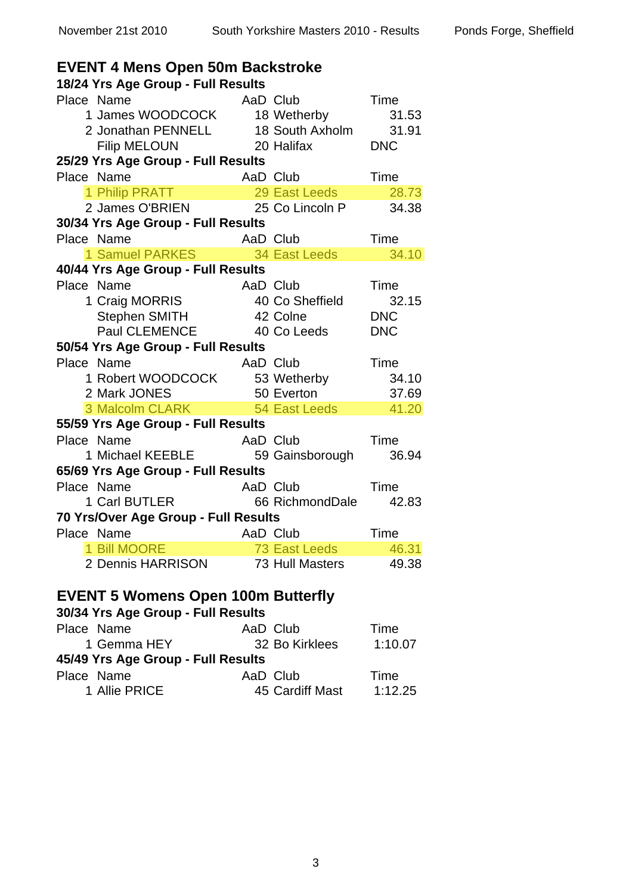| <b>EVENT 4 Mens Open 50m Backstroke</b>                                                             |          |                          |            |
|-----------------------------------------------------------------------------------------------------|----------|--------------------------|------------|
| 18/24 Yrs Age Group - Full Results                                                                  |          |                          |            |
| Place Name                                                                                          | AaD Club |                          | Time       |
| 1 James WOODCOCK 18 Wetherby                                                                        |          |                          | 31.53      |
| 2 Jonathan PENNELL 18 South Axholm 31.91                                                            |          |                          |            |
| <b>Filip MELOUN</b>                                                                                 |          | 20 Halifax               | <b>DNC</b> |
| 25/29 Yrs Age Group - Full Results                                                                  |          |                          |            |
| Place Name                                                                                          | AaD Club |                          | Time       |
| 1 Philip PRATT 29 East Leeds 28.73<br>2 James O'BRIEN 25 Co Lincoln P 34.38                         |          |                          |            |
|                                                                                                     |          |                          |            |
| 30/34 Yrs Age Group - Full Results                                                                  |          |                          |            |
| Place Name<br>e Name                         AaD Club<br>1 Samuel PARKES              34 East Leeds | AaD Club |                          | Time       |
|                                                                                                     |          |                          | 34.10      |
| 40/44 Yrs Age Group - Full Results                                                                  |          |                          |            |
| Place Name                                                                                          | AaD Club |                          | Time       |
| 1 Craig MORRIS                                                                                      |          | 40 Co Sheffield          | 32.15      |
| Stephen SMITH 42 Colne                                                                              |          |                          | <b>DNC</b> |
| Paul CLEMENCE 40 Co Leeds                                                                           |          |                          | <b>DNC</b> |
| 50/54 Yrs Age Group - Full Results                                                                  |          |                          |            |
| Place Name                                                                                          | AaD Club |                          | Time       |
| 1 Robert WOODCOCK 53 Wetherby                                                                       |          |                          | 34.10      |
| 2 Mark JONES<br>3 Malcolm CLARK 54 East Leeds                                                       |          |                          | 37.69      |
|                                                                                                     |          |                          | 41.20      |
| 55/59 Yrs Age Group - Full Results                                                                  |          |                          |            |
| Place Name                                                                                          | AaD Club |                          | Time       |
| 1 Michael KEEBLE 59 Gainsborough                                                                    |          |                          | 36.94      |
| 65/69 Yrs Age Group - Full Results                                                                  |          |                          |            |
| Place Name                                                                                          |          | AaD Club <b>AaD</b> Club | Time       |
| 1 Carl BUTLER 66 RichmondDale                                                                       |          |                          | 42.83      |
| 70 Yrs/Over Age Group - Full Results                                                                |          |                          |            |
| Place Name <b>AaD</b> Club                                                                          |          |                          | Time       |
| 1 Bill MOORE                                                                                        |          | 73 East Leeds            | 46.31      |
| 2 Dennis HARRISON                                                                                   |          | 73 Hull Masters          | 49.38      |
|                                                                                                     |          |                          |            |
| <b>EVENT 5 Womens Open 100m Butterfly</b>                                                           |          |                          |            |
| 30/34 Yrs Age Group - Full Results                                                                  |          |                          |            |
| Place Name                                                                                          |          | AaD Club                 | Time       |

| AaD Club                           | Time    |
|------------------------------------|---------|
| 32 Bo Kirklees                     | 1:10.07 |
| 45/49 Yrs Age Group - Full Results |         |
| AaD Club                           | Time    |
| 45 Cardiff Mast                    | 1:12.25 |
|                                    |         |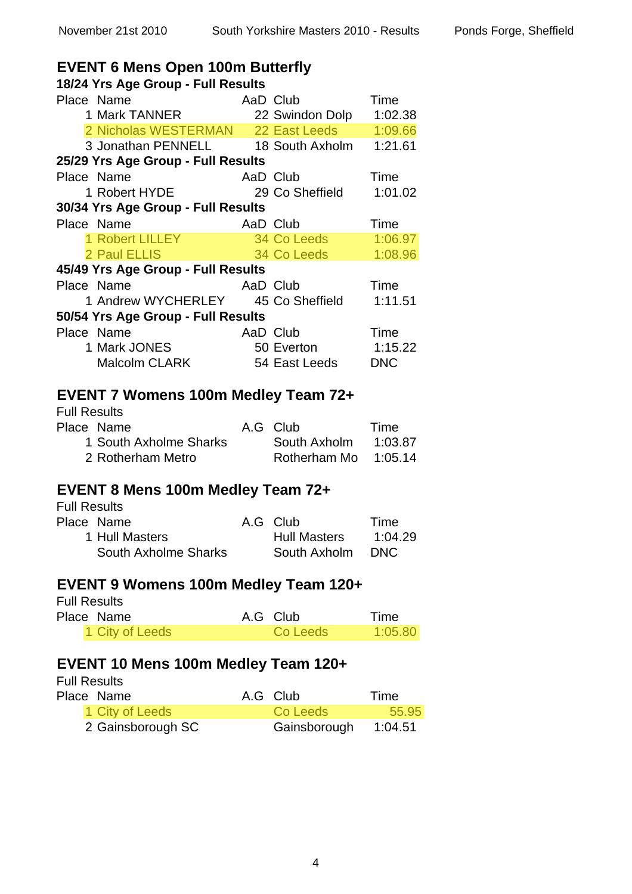### **EVENT 6 Mens Open 100m Butterfly**

| 18/24 Yrs Age Group - Full Results                                                                            |               |         |
|---------------------------------------------------------------------------------------------------------------|---------------|---------|
| Place Name                                                                                                    |               |         |
| e Name Mandre AaD Club Time<br>1 Mark TANNER 22 Swindon Dolp 1:02.38                                          |               |         |
| 2 Nicholas WESTERMAN 22 East Leeds 1:09.66                                                                    |               |         |
| 3 Jonathan PENNELL 18 South Axholm 1:21.61                                                                    |               |         |
| 25/29 Yrs Age Group - Full Results                                                                            |               |         |
| Place Name                                                                                                    |               |         |
| e Name Mand Club Time<br>1 Robert HYDE 29 Co Sheffield 1:01.0                                                 |               | 1:01.02 |
| 30/34 Yrs Age Group - Full Results                                                                            |               |         |
| Place Name                                                                                                    |               |         |
|                                                                                                               |               |         |
|                                                                                                               |               |         |
| 45/49 Yrs Age Group - Full Results                                                                            |               |         |
| <b>Example 2 Add Club</b> Time<br>Place Name                                                                  |               |         |
| 1 Andrew WYCHERLEY 45 Co Sheffield 1:11.51                                                                    |               |         |
| 50/54 Yrs Age Group - Full Results                                                                            |               |         |
| Panne Manne AaD Club Time<br>1 Mark JONES 50 Everton 1:15.22<br>Malcolm CLARK 54 East Leeds DNC<br>Place Name |               |         |
|                                                                                                               |               |         |
|                                                                                                               |               |         |
|                                                                                                               |               |         |
| <b>EVENT 7 Womens 100m Medley Team 72+</b>                                                                    |               |         |
| <b>Full Results</b>                                                                                           |               |         |
| Place Name                                                                                                    | A.G Club Time |         |
|                                                                                                               |               |         |
| 1 South Axholme Sharks South Axholm 1:03.87<br>2 Rotherham Metro Rotherham Mo 1:05.14                         |               |         |
|                                                                                                               |               |         |
| <b>EVENT 8 Mens 100m Medley Team 72+</b>                                                                      |               |         |

# Full Results

| Place Name           | A.G Club            | Time    |
|----------------------|---------------------|---------|
| 1 Hull Masters       | <b>Hull Masters</b> | 1:04.29 |
| South Axholme Sharks | South Axholm        | DNC.    |

# **EVENT 9 Womens 100m Medley Team 120+**

| <b>Full Results</b> |          |         |
|---------------------|----------|---------|
| Place Name          | A.G Club | Time    |
| 1 City of Leeds     | Co Leeds | 1:05.80 |

# **EVENT 10 Mens 100m Medley Team 120+**

Full Results<br>Place Name

| Place Name        | A.G Club             | Time  |
|-------------------|----------------------|-------|
| 1 City of Leeds   | Co Leeds             | 55.95 |
| 2 Gainsborough SC | Gainsborough 1:04.51 |       |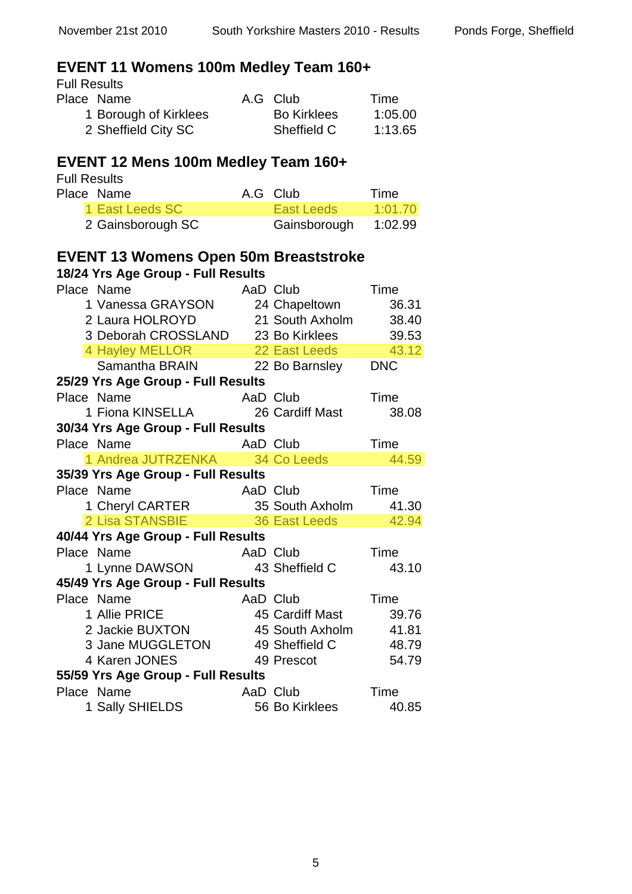# **EVENT 11 Womens 100m Medley Team 160+**

Full Results<br>Place Name

| Place Name            | A.G Club           | Time    |
|-----------------------|--------------------|---------|
| 1 Borough of Kirklees | <b>Bo Kirklees</b> | 1:05.00 |
| 2 Sheffield City SC   | Sheffield C        | 1:13.65 |

### **EVENT 12 Mens 100m Medley Team 160+**

Full Results<br>Place Name

| Place Name        | A.G Club     | Time    |
|-------------------|--------------|---------|
| 1 East Leeds SC   | East Leeds   | 1:01.70 |
| 2 Gainsborough SC | Gainsborough | 1:02.99 |

#### **EVENT 13 Womens Open 50m Breaststroke**

| Place Name                                                       | AaD Club |                       | Time  |
|------------------------------------------------------------------|----------|-----------------------|-------|
| 1 Vanessa GRAYSON                                                |          | 24 Chapeltown         | 36.31 |
| 2 Laura HOLROYD                                                  |          | 21 South Axholm       | 38.40 |
| 3 Deborah CROSSLAND                                              |          | 23 Bo Kirklees 39.53  |       |
| 4 Hayley MELLOR                                                  |          | 22 East Leeds         | 43.12 |
| Samantha BRAIN                                                   |          | 22 Bo Barnsley DNC    |       |
| 25/29 Yrs Age Group - Full Results                               |          |                       |       |
| Place Name<br>AaD Club                                           |          |                       | Time  |
| 1 Fiona KINSELLA 26 Cardiff Mast                                 |          |                       | 38.08 |
| 30/34 Yrs Age Group - Full Results                               |          |                       |       |
| Place Name                                                       |          | AaD Club              | Time  |
| 1 Andrea JUTRZENKA 34 Co Leeds                                   |          |                       | 44.59 |
| 35/39 Yrs Age Group - Full Results                               |          |                       |       |
| Place Name                                                       | AaD Club |                       | Time  |
| 1 Cheryl CARTER 35 South Axholm<br>2 Lisa STANSBIE 36 East Leeds |          | 35 South Axholm 41.30 |       |
| 2 Lisa STANSBIE                                                  |          |                       | 42.94 |
| 40/44 Yrs Age Group - Full Results                               |          |                       |       |
| Place Name                                                       | AaD Club |                       | Time  |
| 1 Lynne DAWSON 43 Sheffield C                                    |          |                       | 43.10 |
| 45/49 Yrs Age Group - Full Results                               |          |                       |       |
| Place Name                                                       | AaD Club |                       | Time  |
| 1 Allie PRICE                                                    |          | 45 Cardiff Mast       | 39.76 |
| 2 Jackie BUXTON                                                  |          | 45 South Axholm 41.81 |       |
| 3 Jane MUGGLETON<br>4 Karen JONES                                |          | 49 Sheffield C        | 48.79 |
|                                                                  |          | 49 Prescot            | 54.79 |
| 55/59 Yrs Age Group - Full Results                               |          |                       |       |
| Place Name                                                       | AaD Club |                       | Time  |
| 1 Sally SHIELDS                                                  |          | 56 Bo Kirklees        | 40.85 |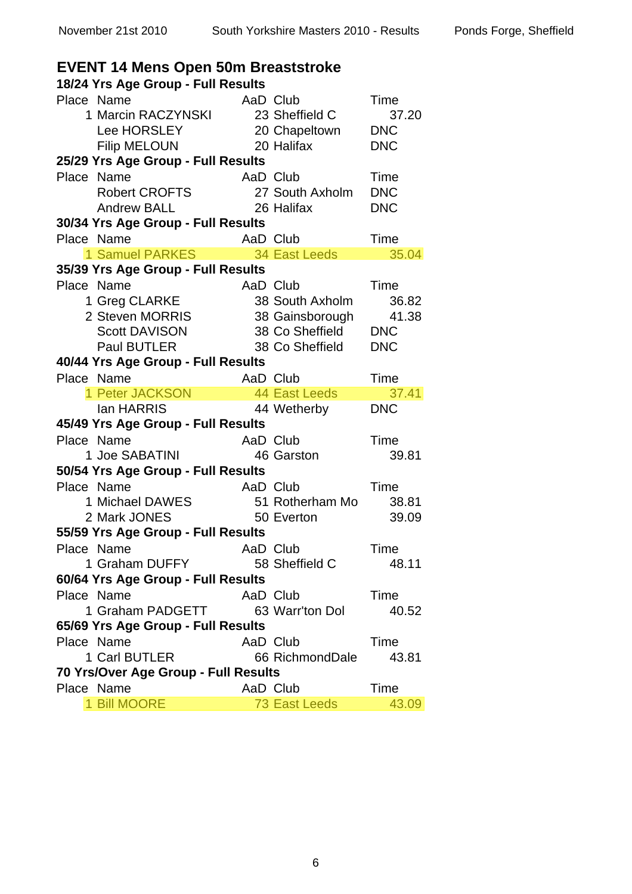| EVENT 14 Mens Open 50m Breaststroke                                                                 |          |                 |               |
|-----------------------------------------------------------------------------------------------------|----------|-----------------|---------------|
| 18/24 Yrs Age Group - Full Results                                                                  |          |                 |               |
| Place Name                                                                                          | AaD Club |                 | Time          |
| 1 Marcin RACZYNSKI                                                                                  |          | 23 Sheffield C  | 37.20         |
| Lee HORSLEY 20 Chapeltown                                                                           |          |                 | <b>DNC</b>    |
| 20 Halifax<br><b>Filip MELOUN</b>                                                                   |          |                 | <b>DNC</b>    |
| 25/29 Yrs Age Group - Full Results                                                                  |          |                 |               |
| Place Name                                                                                          | AaD Club |                 | Time          |
| <b>Robert CROFTS</b>                                                                                |          | 27 South Axholm | <b>DNC</b>    |
| <b>Andrew BALL</b><br><b>26 Halifax</b>                                                             |          |                 | <b>DNC</b>    |
| 30/34 Yrs Age Group - Full Results                                                                  |          |                 |               |
| Place Name                                                                                          | AaD Club |                 | Time          |
| 1 Samuel PARKES 34 East Leeds                                                                       |          |                 | 35.04         |
| 35/39 Yrs Age Group - Full Results                                                                  |          |                 |               |
| Place Name                                                                                          | AaD Club |                 | Time          |
| e Name<br>1 Greg CLARKE                                                                             |          | 38 South Axholm | 36.82         |
|                                                                                                     |          |                 |               |
|                                                                                                     |          |                 |               |
| 2 Steven MORRIS<br>Scott DAVISON<br>Paul BUTLER<br>28 Co Sheffield<br>DNC<br>28 Co Sheffield<br>DNC |          |                 |               |
| 40/44 Yrs Age Group - Full Results                                                                  |          |                 |               |
| Place Name<br>AaD Club                                                                              |          |                 | Time          |
| 1 Peter JACKSON 44 East Leeds<br>lan HARRIS 44 Wetherby                                             |          |                 | 37.41         |
|                                                                                                     |          |                 | <b>DNC</b>    |
|                                                                                                     |          |                 |               |
|                                                                                                     |          |                 |               |
| 45/49 Yrs Age Group - Full Results                                                                  |          |                 |               |
| Place Name                                                                                          | AaD Club |                 | Time          |
| 1 Joe SABATINI                                                                                      |          | 46 Garston      | 39.81         |
| 50/54 Yrs Age Group - Full Results                                                                  |          |                 |               |
| Place Name                                                                                          | AaD Club |                 | Time          |
| 1 Michael DAWES 51 Rotherham Mo                                                                     |          |                 | 38.81         |
| 2 Mark JONES                                                                                        |          | 50 Everton      | 39.09         |
| 55/59 Yrs Age Group - Full Results                                                                  |          |                 |               |
| Place Name                                                                                          | AaD Club |                 | Time          |
| 1 Graham DUFFY                                                                                      |          | 58 Sheffield C  | 48.11         |
| 60/64 Yrs Age Group - Full Results                                                                  |          |                 |               |
| Place Name                                                                                          | AaD Club |                 | Time          |
| 1 Graham PADGETT                                                                                    |          | 63 Warr'ton Dol | 40.52         |
| 65/69 Yrs Age Group - Full Results                                                                  |          |                 |               |
| Place Name                                                                                          | AaD Club |                 | Time          |
| 1 Carl BUTLER                                                                                       |          | 66 RichmondDale | 43.81         |
| 70 Yrs/Over Age Group - Full Results                                                                |          |                 |               |
| Place Name<br>1 Bill MOORE                                                                          | AaD Club | 73 East Leeds   | Time<br>43.09 |

### **EVENT 14 Mens Open 50m Breaststroke**

6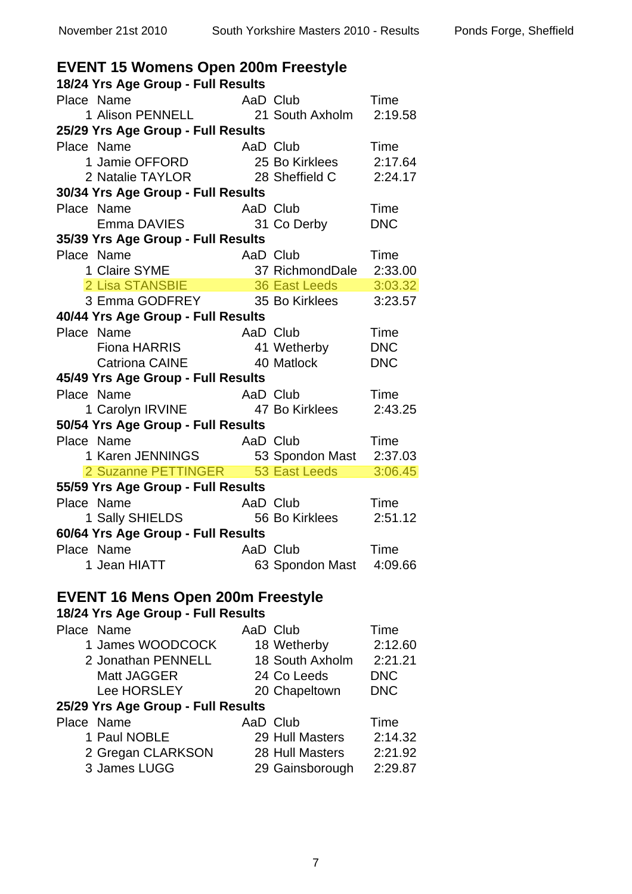| <b>EVENT 15 Womens Open 200m Freestyle</b>                                    |          |                            |                 |  |
|-------------------------------------------------------------------------------|----------|----------------------------|-----------------|--|
| 18/24 Yrs Age Group - Full Results                                            |          |                            |                 |  |
| Place Name                                                                    |          | AaD Club                   | Time            |  |
| 1 Alison PENNELL 21 South Axholm 2:19.58                                      |          |                            |                 |  |
| 25/29 Yrs Age Group - Full Results                                            |          |                            |                 |  |
| Place Name<br>AaD Club                                                        |          |                            | Time            |  |
| 1 Jamie OFFORD                                                                |          | 25 Bo Kirklees             | 2:17.64         |  |
| 2 Natalie TAYLOR 28 Sheffield C                                               |          |                            | 2:24.17         |  |
| 30/34 Yrs Age Group - Full Results                                            |          |                            |                 |  |
| Place Name                                                                    | AaD Club |                            | Time            |  |
| Emma DAVIES                                                                   |          | 31 Co Derby                | <b>DNC</b>      |  |
| 35/39 Yrs Age Group - Full Results                                            |          |                            |                 |  |
| Place Name                                                                    |          |                            |                 |  |
|                                                                               |          |                            |                 |  |
|                                                                               |          |                            |                 |  |
| 3 Emma GODFREY 35 Bo Kirklees                                                 |          |                            | 3:23.57         |  |
| 40/44 Yrs Age Group - Full Results                                            |          |                            |                 |  |
| Place Name<br>AaD Club                                                        |          |                            | Time            |  |
| Fiona HARRIS                                                                  |          | 41 Wetherby                | <b>DNC</b>      |  |
| Catriona CAINE 40 Matlock                                                     |          |                            | <b>DNC</b>      |  |
| 45/49 Yrs Age Group - Full Results                                            |          |                            |                 |  |
| Place Name                                                                    | AaD Club |                            | Time            |  |
| 1 Carolyn IRVINE 47 Bo Kirklees                                               |          |                            | 2:43.25         |  |
| 50/54 Yrs Age Group - Full Results                                            |          |                            |                 |  |
| Place Name                                                                    |          | AaD Club                   | Time            |  |
| 1 Karen JENNINGS 53 Spondon Mast 2:37.03<br>2 Suzanne PETTINGER 53 East Leeds |          |                            |                 |  |
|                                                                               |          |                            | 3:06.45         |  |
| 55/59 Yrs Age Group - Full Results<br>Place Name                              |          |                            |                 |  |
| 1 Sally SHIELDS                                                               |          | AaD Club<br>56 Bo Kirklees | Time<br>2:51.12 |  |
| 60/64 Yrs Age Group - Full Results                                            |          |                            |                 |  |
| Place Name                                                                    |          | AaD Club                   | Time            |  |
| 1 Jean HIATT                                                                  |          | 63 Spondon Mast 4:09.66    |                 |  |
|                                                                               |          |                            |                 |  |
| <b>EVENT 16 Mens Open 200m Freestyle</b>                                      |          |                            |                 |  |
| 18/24 Yrs Age Group - Full Results                                            |          |                            |                 |  |
| Place Name                                                                    |          | AaD Club                   | Time            |  |
| 1 James WOODCOCK                                                              |          | 18 Wetherby                | 2:12.60         |  |
| 2 Jonathan PENNELL                                                            |          | 18 South Axholm 2:21.21    |                 |  |
| Matt JAGGER                                                                   |          | 24 Co Leeds                | <b>DNC</b>      |  |
| Lee HORSLEY                                                                   |          | 20 Chapeltown              | <b>DNC</b>      |  |
| 25/29 Yrs Age Group - Full Results                                            |          |                            |                 |  |
| Place Name                                                                    |          | AaD Club                   | Time            |  |
| 1 Paul NOBLE                                                                  |          | 29 Hull Masters            | 2:14.32         |  |
| 2 Gregan CLARKSON                                                             |          | 28 Hull Masters            | 2:21.92         |  |
| 3 James LUGG                                                                  |          | 29 Gainsborough            | 2:29.87         |  |

#### 7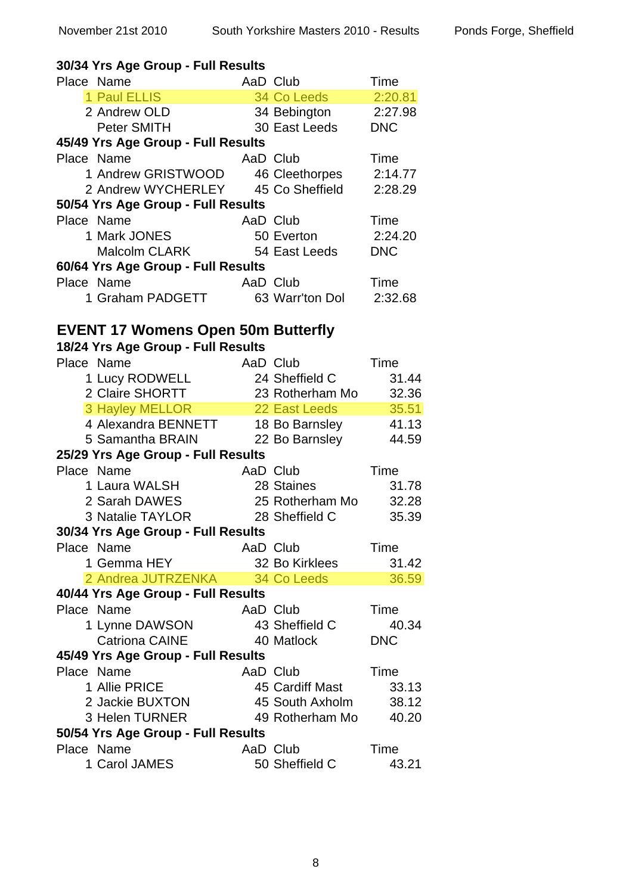| 30/34 Yrs Age Group - Full Results        |          |                 |                |
|-------------------------------------------|----------|-----------------|----------------|
| Place Name                                |          | AaD Club        | Time           |
| 1 Paul ELLIS                              |          | 34 Co Leeds     | 2:20.81        |
| 2 Andrew OLD                              |          | 34 Bebington    | 2:27.98        |
| <b>Peter SMITH</b>                        |          | 30 East Leeds   | <b>DNC</b>     |
| 45/49 Yrs Age Group - Full Results        |          |                 |                |
| Place Name                                | AaD Club |                 | Time           |
| 1 Andrew GRISTWOOD 46 Cleethorpes         |          |                 | 2:14.77        |
| 2 Andrew WYCHERLEY 45 Co Sheffield        |          |                 | 2:28.29        |
| 50/54 Yrs Age Group - Full Results        |          |                 |                |
| Place Name                                | AaD Club |                 | Time           |
| 1 Mark JONES                              |          | 50 Everton      | 2:24.20        |
| Malcolm CLARK                             |          | 54 East Leeds   | <b>DNC</b>     |
| 60/64 Yrs Age Group - Full Results        |          |                 |                |
| Place Name                                | AaD Club |                 | Time           |
| 1 Graham PADGETT                          |          | 63 Warr'ton Dol | 2:32.68        |
|                                           |          |                 |                |
| <b>EVENT 17 Womens Open 50m Butterfly</b> |          |                 |                |
| 18/24 Yrs Age Group - Full Results        |          |                 |                |
| Place Name                                | AaD Club |                 | Time           |
| 1 Lucy RODWELL                            |          | 24 Sheffield C  | 31.44          |
| 2 Claire SHORTT                           |          | 23 Rotherham Mo | 32.36          |
| <b>3 Hayley MELLOR</b>                    |          | 22 East Leeds   | 35.51          |
| 4 Alexandra BENNETT                       |          | 18 Bo Barnsley  | 41.13          |
| 5 Samantha BRAIN                          |          | 22 Bo Barnsley  | 44.59          |
| 25/29 Yrs Age Group - Full Results        |          |                 |                |
| Place Name                                | AaD Club |                 | Time           |
| 1 Laura WALSH                             |          | 28 Staines      | 31.78          |
| 2 Sarah DAWES                             |          | 25 Rotherham Mo | 32.28          |
| 3 Natalie TAYLOR                          |          | 28 Sheffield C  | 35.39          |
| 30/34 Yrs Age Group - Full Results        |          |                 |                |
| Place Name                                | AaD Club |                 | Time           |
| 1 Gemma HEY                               |          | 32 Bo Kirklees  | 31.42          |
| 2 Andrea JUTRZENKA                        |          | 34 Co Leeds     | 36.59          |
| 40/44 Yrs Age Group - Full Results        |          |                 |                |
| Place Name                                | AaD Club |                 | Time           |
| 1 Lynne DAWSON                            |          | 43 Sheffield C  | 40.34          |
| <b>Catriona CAINE</b>                     |          | 40 Matlock      | <b>DNC</b>     |
| 45/49 Yrs Age Group - Full Results        |          |                 |                |
| Place Name                                | AaD Club |                 | Time           |
| 1 Allie PRICE                             |          | 45 Cardiff Mast |                |
| 2 Jackie BUXTON                           |          | 45 South Axholm | 33.13<br>38.12 |
| 3 Helen TURNER                            |          | 49 Rotherham Mo | 40.20          |
|                                           |          |                 |                |
| 50/54 Yrs Age Group - Full Results        |          |                 |                |
| Place Name                                | AaD Club |                 | Time           |
| 1 Carol JAMES                             |          | 50 Sheffield C  | 43.21          |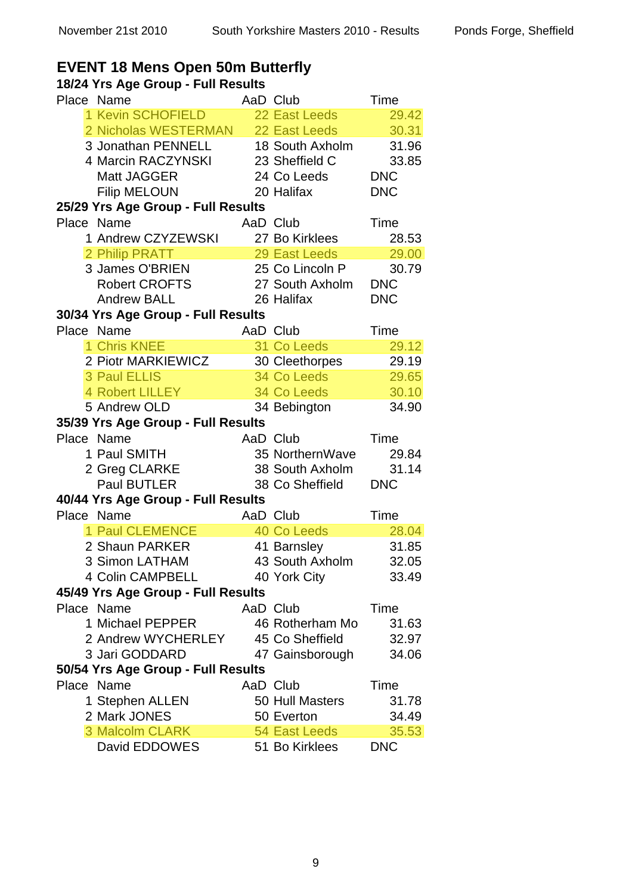#### **EVENT 18 Mens Open 50m Butterfly**

| Place Name                                                |          | AaD Club                                                                                                       | Time       |
|-----------------------------------------------------------|----------|----------------------------------------------------------------------------------------------------------------|------------|
| 1 Kevin SCHOFIELD 22 East Leeds                           |          |                                                                                                                | 29.42      |
| 2 Nicholas WESTERMAN 22 East Leeds                        |          |                                                                                                                | 30.31      |
| 3 Jonathan PENNELL 18 South Axholm                        |          |                                                                                                                | 31.96      |
| 4 Marcin RACZYNSKI 23 Sheffield C                         |          |                                                                                                                | 33.85      |
| Matt JAGGER                                               |          |                                                                                                                | <b>DNC</b> |
| <b>Filip MELOUN</b>                                       |          | 24 Co Leeds<br>20 Halifax                                                                                      | <b>DNC</b> |
| 25/29 Yrs Age Group - Full Results                        |          |                                                                                                                |            |
| Place Name                                                |          | AaD Club                                                                                                       | Time       |
| 1 Andrew CZYZEWSKI                                        |          | 27 Bo Kirklees                                                                                                 | 28.53      |
| 2 Philip PRATT<br>An imp PRAIT<br>3 James O'BRIEN<br>Dail |          | 29 East Leeds 29.00                                                                                            |            |
|                                                           |          | 25 Co Lincoln P 30.79                                                                                          |            |
| Robert CROFTS                                             |          | 27 South Axholm                                                                                                | <b>DNC</b> |
| <b>Andrew BALL</b>                                        |          | 26 Halifax                                                                                                     | <b>DNC</b> |
| 30/34 Yrs Age Group - Full Results                        |          |                                                                                                                |            |
| Place Name                                                |          | AaD Club                                                                                                       | Time       |
| 1 Chris KNEE                                              |          | 31 Co Leeds                                                                                                    | 29.12      |
| 2 Piotr MARKIEWICZ                                        |          | 30 Cleethorpes                                                                                                 | 29.19      |
| <b>3 Paul ELLIS</b>                                       |          | <b>34 Co Leeds 1999</b>                                                                                        | 29.65      |
| 4 Robert LILLEY 34 Co Leeds                               |          |                                                                                                                | 30.10      |
| 5 Andrew OLD                                              |          | 34 Bebington                                                                                                   | 34.90      |
| 35/39 Yrs Age Group - Full Results                        |          |                                                                                                                |            |
| Place Name                                                | AaD Club |                                                                                                                | Time       |
| 1 Paul SMITH                                              |          | 35 NorthernWave 29.84                                                                                          |            |
| 2 Greg CLARKE                                             |          | 38 South Axholm 31.14                                                                                          |            |
| Paul BUTLER                                               |          | 38 South Axholn<br>38 Co Sheffield                                                                             | <b>DNC</b> |
| 40/44 Yrs Age Group - Full Results                        |          |                                                                                                                |            |
| Place Name                                                |          | AaD Club <b>Example 20</b>                                                                                     | Time       |
| 1 Paul CLEMENCE                                           |          | 40 Co Leeds and the state of the state of the state of the state of the state of the state of the state of the | 28.04      |
| 2 Shaun PARKER                                            |          | 41 Barnsley                                                                                                    | 31.85      |
| 3 Simon LATHAM                                            |          | 43 South Axholm 32.05                                                                                          |            |
| 4 Colin CAMPBELL 40 York City                             |          |                                                                                                                | 33.49      |
| 45/49 Yrs Age Group - Full Results                        |          |                                                                                                                |            |
| Place Name                                                | AaD Club |                                                                                                                | Time       |
| 1 Michael PEPPER                                          |          | 46 Rotherham Mo                                                                                                | 31.63      |
| 2 Andrew WYCHERLEY 45 Co Sheffield                        |          |                                                                                                                | 32.97      |
| 3 Jari GODDARD                                            |          | 47 Gainsborough                                                                                                | 34.06      |
| 50/54 Yrs Age Group - Full Results                        |          |                                                                                                                |            |
| Place Name                                                | AaD Club |                                                                                                                | Time       |
| 1 Stephen ALLEN                                           |          | 50 Hull Masters                                                                                                | 31.78      |
| 2 Mark JONES                                              |          | 50 Everton                                                                                                     | 34.49      |
| 3 Malcolm CLARK                                           |          | 54 East Leeds                                                                                                  | 35.53      |
| David EDDOWES                                             |          | 51 Bo Kirklees                                                                                                 | <b>DNC</b> |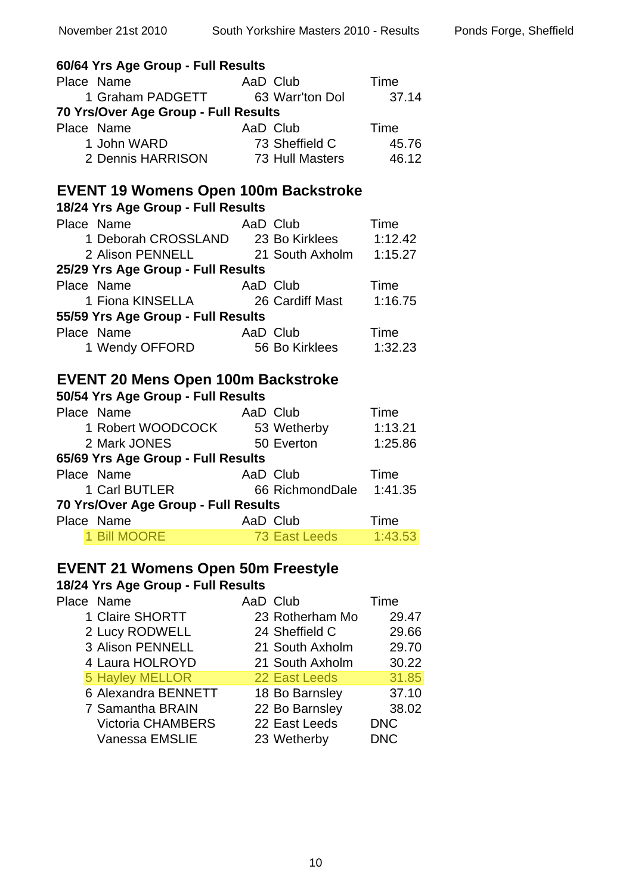| 60/64 Yrs Age Group - Full Results                                                |                         |            |
|-----------------------------------------------------------------------------------|-------------------------|------------|
| Place Name                                                                        |                         | Time       |
|                                                                                   |                         | 37.14      |
| 70 Yrs/Over Age Group - Full Results                                              |                         |            |
| Place Name<br>e ivame AaD Club<br>1 John WARD 73 Sheff                            |                         | Time       |
|                                                                                   | 73 Sheffield C          | 45.76      |
| 2 Dennis HARRISON 73 Hull Masters 46.12                                           |                         |            |
|                                                                                   |                         |            |
| <b>EVENT 19 Womens Open 100m Backstroke</b><br>18/24 Yrs Age Group - Full Results |                         |            |
| Place Name                                                                        |                         |            |
| <b>AaD</b> Club                                                                   |                         | Time       |
| 1 Deborah CROSSLAND 23 Bo Kirklees 1:12.42                                        |                         |            |
| 2 Alison PENNELL 21 South Axholm 1:15.27                                          |                         |            |
| 25/29 Yrs Age Group - Full Results                                                |                         |            |
| Place Name                                                                        |                         |            |
|                                                                                   |                         |            |
| 55/59 Yrs Age Group - Full Results                                                |                         |            |
| Place Name                                                                        | AaD Club                | Time       |
| 1 Wendy OFFORD 56 Bo Kirklees                                                     |                         | 1:32.23    |
|                                                                                   |                         |            |
| <b>EVENT 20 Mens Open 100m Backstroke</b>                                         |                         |            |
| 50/54 Yrs Age Group - Full Results                                                |                         |            |
| Place Name                                                                        | AaD Club                | Time       |
| 1 Robert WOODCOCK 53 Wetherby                                                     |                         | 1:13.21    |
| 2 Mark JONES                                                                      | 50 Everton              | 1:25.86    |
| 65/69 Yrs Age Group - Full Results                                                |                         |            |
| Place Name                                                                        |                         |            |
|                                                                                   | 66 RichmondDale 1:41.35 |            |
| 70 Yrs/Over Age Group - Full Results                                              |                         |            |
| Place Name                                                                        | AaD Club                | Time       |
| 1 Bill MOORE                                                                      | <b>73 East Leeds</b>    | 1:43.53    |
|                                                                                   |                         |            |
| <b>EVENT 21 Womens Open 50m Freestyle</b>                                         |                         |            |
| 18/24 Yrs Age Group - Full Results<br>Place Name                                  |                         |            |
|                                                                                   | AaD Club                | Time       |
| 1 Claire SHORTT                                                                   | 23 Rotherham Mo         | 29.47      |
| 2 Lucy RODWELL                                                                    | 24 Sheffield C          | 29.66      |
| 3 Alison PENNELL                                                                  | 21 South Axholm         | 29.70      |
| 4 Laura HOLROYD                                                                   | 21 South Axholm         | 30.22      |
| <b>5 Hayley MELLOR</b>                                                            | 22 East Leeds           | 31.85      |
| 6 Alexandra BENNETT                                                               | 18 Bo Barnsley          | 37.10      |
| <b>7 Samantha BRAIN</b>                                                           | 22 Bo Barnsley          | 38.02      |
| <b>Victoria CHAMBERS</b>                                                          | 22 East Leeds           | <b>DNC</b> |
| Vanessa EMSLIE                                                                    | 23 Wetherby             | <b>DNC</b> |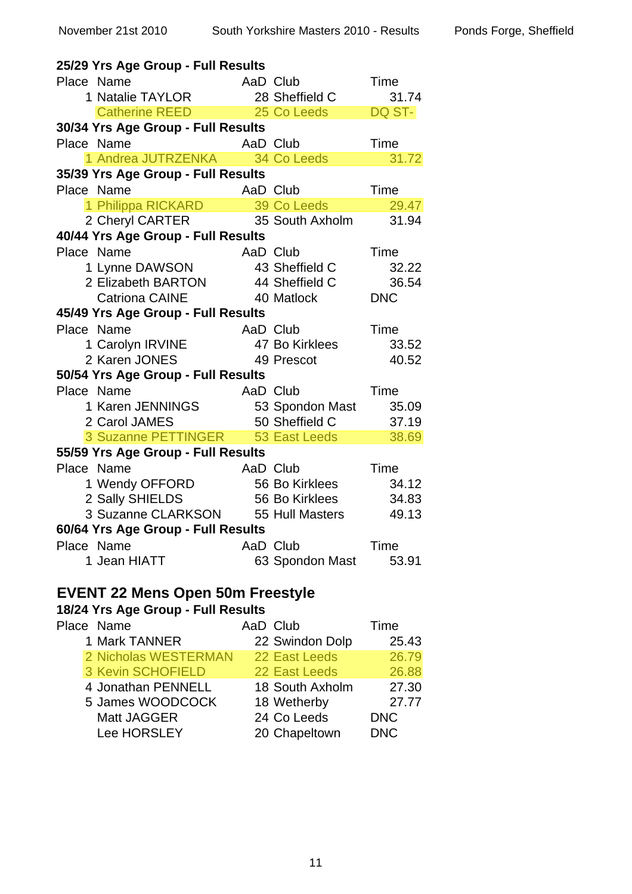| 25/29 Yrs Age Group - Full Results      |            |                 |            |
|-----------------------------------------|------------|-----------------|------------|
| Place Name                              | AaD Club   |                 | Time       |
| 1 Natalie TAYLOR                        |            | 28 Sheffield C  | 31.74      |
| Catherine REED 25 Co Leeds              |            |                 | DQ ST-     |
| 30/34 Yrs Age Group - Full Results      |            |                 |            |
| Place Name                              | AaD Club   |                 | Time       |
| 1 Andrea JUTRZENKA 34 Co Leeds          |            |                 | 31.72      |
| 35/39 Yrs Age Group - Full Results      |            |                 |            |
| Place Name                              | AaD Club   |                 | Time       |
| 1 Philippa RICKARD 39 Co Leeds          |            |                 | 29.47      |
| 2 Cheryl CARTER                         |            | 35 South Axholm | 31.94      |
| 40/44 Yrs Age Group - Full Results      |            |                 |            |
| Place Name                              | AaD Club   |                 | Time       |
| 1 Lynne DAWSON                          |            | 43 Sheffield C  | 32.22      |
| 2 Elizabeth BARTON                      |            | 44 Sheffield C  | 36.54      |
| <b>Catriona CAINE</b>                   | 40 Matlock |                 | <b>DNC</b> |
| 45/49 Yrs Age Group - Full Results      |            |                 |            |
| Place Name                              | AaD Club   |                 | Time       |
| 1 Carolyn IRVINE                        |            | 47 Bo Kirklees  | 33.52      |
| 2 Karen JONES                           |            | 49 Prescot      | 40.52      |
| 50/54 Yrs Age Group - Full Results      |            |                 |            |
| Place Name                              | AaD Club   |                 | Time       |
| 1 Karen JENNINGS                        |            | 53 Spondon Mast | 35.09      |
| 2 Carol JAMES                           |            | 50 Sheffield C  | 37.19      |
| 3 Suzanne PETTINGER 53 East Leeds       |            |                 | 38.69      |
| 55/59 Yrs Age Group - Full Results      |            |                 |            |
| Place Name                              | AaD Club   |                 | Time       |
| 1 Wendy OFFORD                          |            | 56 Bo Kirklees  | 34.12      |
| 2 Sally SHIELDS                         |            | 56 Bo Kirklees  | 34.83      |
| 3 Suzanne CLARKSON 55 Hull Masters      |            |                 | 49.13      |
| 60/64 Yrs Age Group - Full Results      |            |                 |            |
| Place Name                              | AaD Club   |                 | Time       |
| 1 Jean HIATT                            |            | 63 Spondon Mast | 53.91      |
|                                         |            |                 |            |
| <b>EVENT 22 Mens Open 50m Freestyle</b> |            |                 |            |
| 18/24 Yrs Age Group - Full Results      |            |                 |            |
| Place Name                              | AaD Club   |                 | Time       |
| 1 Mark TANNER                           |            | 22 Swindon Dolp | 25.43      |
| 2 Nicholas WESTERMAN                    |            | 22 East Leeds   | 26.79      |
| <b>3 Kevin SCHOFIELD</b>                |            | 22 East Leeds   | 26.88      |
| 4 Jonathan PENNELL                      |            | 18 South Axholm | 27.30      |
| 5 James WOODCOCK                        |            | 18 Wetherby     | 27.77      |
| Matt JAGGER                             |            | 24 Co Leeds     | <b>DNC</b> |

Lee HORSLEY 20 Chapeltown DNC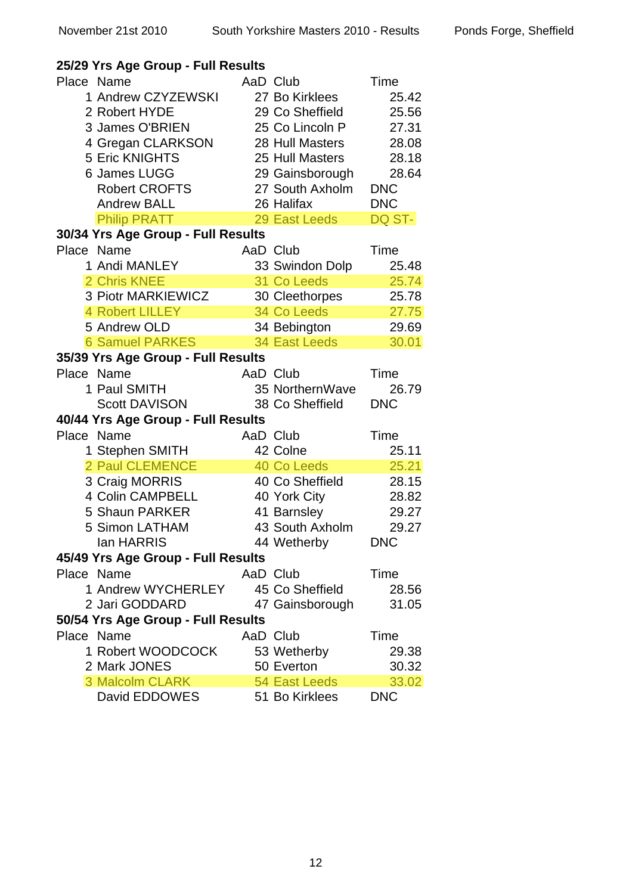| 25/29 Yrs Age Group - Full Results                                                                                                                                               |                                                                                                                                                            |                                                                                        |
|----------------------------------------------------------------------------------------------------------------------------------------------------------------------------------|------------------------------------------------------------------------------------------------------------------------------------------------------------|----------------------------------------------------------------------------------------|
| Place Name<br>1 Andrew CZYZEWSKI<br>2 Robert HYDE<br>3 James O'BRIEN<br>4 Gregan CLARKSON<br><b>5 Eric KNIGHTS</b><br>6 James LUGG<br><b>Robert CROFTS</b><br><b>Andrew BALL</b> | AaD Club<br>27 Bo Kirklees<br>29 Co Sheffield<br>25 Co Lincoln P<br>28 Hull Masters<br>25 Hull Masters<br>29 Gainsborough<br>27 South Axholm<br>26 Halifax | Time<br>25.42<br>25.56<br>27.31<br>28.08<br>28.18<br>28.64<br><b>DNC</b><br><b>DNC</b> |
| <b>Philip PRATT</b>                                                                                                                                                              | 29 East Leeds                                                                                                                                              | DQ ST-                                                                                 |
| 30/34 Yrs Age Group - Full Results<br>Place Name<br>1 Andi MANLEY<br>2 Chris KNEE<br>3 Piotr MARKIEWICZ<br><b>4 Robert LILLEY</b><br>5 Andrew OLD                                | AaD Club<br>33 Swindon Dolp<br>31 Co Leeds<br>30 Cleethorpes<br>34 Co Leeds<br>34 Bebington                                                                | Time<br>25.48<br>25.74<br>25.78<br>27.75<br>29.69                                      |
| <b>6 Samuel PARKES</b>                                                                                                                                                           | <b>34 East Leeds</b>                                                                                                                                       | 30.01                                                                                  |
| 35/39 Yrs Age Group - Full Results                                                                                                                                               |                                                                                                                                                            |                                                                                        |
| Place Name                                                                                                                                                                       | AaD Club                                                                                                                                                   | Time                                                                                   |
| 1 Paul SMITH<br><b>Scott DAVISON</b>                                                                                                                                             | 35 NorthernWave<br>38 Co Sheffield                                                                                                                         | 26.79<br><b>DNC</b>                                                                    |
| 40/44 Yrs Age Group - Full Results                                                                                                                                               |                                                                                                                                                            |                                                                                        |
| Place Name<br>1 Stephen SMITH<br>2 Paul CLEMENCE<br>3 Craig MORRIS<br>4 Colin CAMPBELL<br>5 Shaun PARKER<br>5 Simon LATHAM<br>lan HARRIS                                         | AaD Club<br>42 Colne<br>40 Co Leeds<br>40 Co Sheffield<br>40 York City<br>41 Barnsley<br>43 South Axholm<br>44 Wetherby                                    | Time<br>25.11<br>25.21<br>28.15<br>28.82<br>29.27<br>29.27<br><b>DNC</b>               |
| 45/49 Yrs Age Group - Full Results                                                                                                                                               |                                                                                                                                                            |                                                                                        |
| Place Name<br>1 Andrew WYCHERLEY                                                                                                                                                 | AaD Club<br>45 Co Sheffield                                                                                                                                | Time<br>28.56                                                                          |
| 2 Jari GODDARD                                                                                                                                                                   | 47 Gainsborough                                                                                                                                            | 31.05                                                                                  |
| 50/54 Yrs Age Group - Full Results<br>Place Name<br>1 Robert WOODCOCK<br>2 Mark JONES<br>3 Malcolm CLARK                                                                         | AaD Club<br>53 Wetherby<br>50 Everton<br>54 East Leeds                                                                                                     | Time<br>29.38<br>30.32<br>33.02                                                        |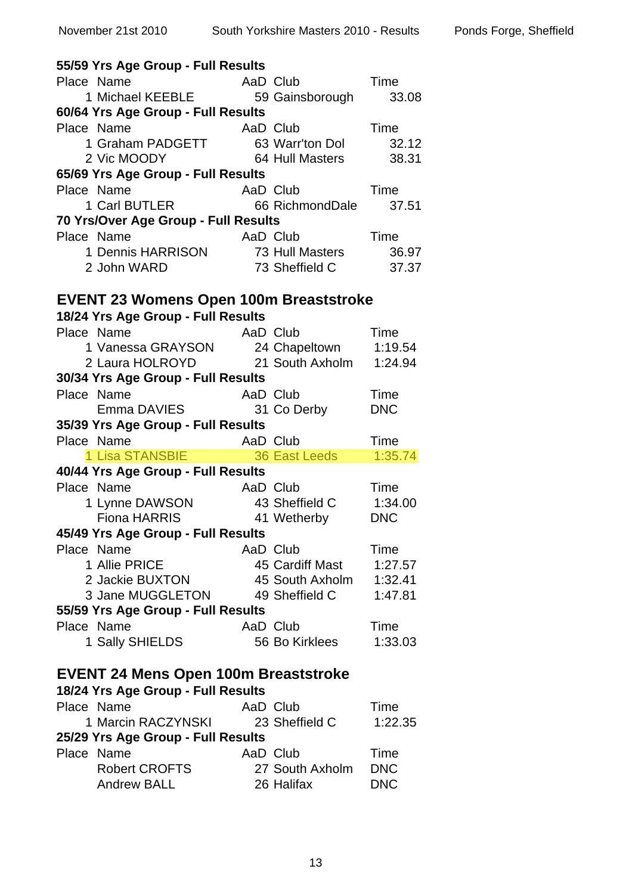| 55/59 Yrs Age Group - Full Results                                                 |                             |                    |
|------------------------------------------------------------------------------------|-----------------------------|--------------------|
|                                                                                    |                             | Time               |
| Place Name Manne AaD Club Tin<br>1 Michael KEEBLE 59 Gainsborough                  |                             | 33.08              |
| 60/64 Yrs Age Group - Full Results                                                 |                             |                    |
| Place Name                                                                         | <b>Time</b><br>AaD Club     |                    |
| 1 Graham PADGETT 63 Warr'ton Dol 32.12                                             |                             |                    |
| 2 Vic MOODY 64 Hull Masters                                                        |                             | 38.31              |
| 65/69 Yrs Age Group - Full Results                                                 |                             |                    |
| Place Name                                                                         |                             |                    |
|                                                                                    |                             |                    |
| 70 Yrs/Over Age Group - Full Results                                               |                             |                    |
| Place Name                                                                         | AaD Club                    | Time               |
|                                                                                    |                             | 36.97              |
| 1 Dennis HARRISON<br>2 John WARD 73 Sheffield C                                    |                             | 37.37              |
|                                                                                    |                             |                    |
| <b>EVENT 23 Womens Open 100m Breaststroke</b>                                      |                             |                    |
| 18/24 Yrs Age Group - Full Results                                                 |                             |                    |
|                                                                                    |                             |                    |
| Place Name                                                                         | AaD Club                    | Time               |
| 1 Vanessa GRAYSON 24 Chapeltown 1:19.54<br>2 Laura HOLROYD 21 South Axholm 1:24.94 |                             |                    |
|                                                                                    |                             |                    |
| 30/34 Yrs Age Group - Full Results                                                 |                             |                    |
| Place Name                                                                         | AaD Club                    | Time               |
| Emma DAVIES 31 Co Derby                                                            |                             | <b>DNC</b>         |
| 35/39 Yrs Age Group - Full Results                                                 |                             |                    |
|                                                                                    |                             |                    |
| Place Name                                                                         |                             |                    |
|                                                                                    |                             |                    |
| 40/44 Yrs Age Group - Full Results                                                 |                             |                    |
| Place Name                                                                         | AaD Club                    | Time               |
|                                                                                    |                             | 1:34.00            |
| and Ulub<br>1 Lynne DAWSON 43 Sheffield C<br>Fiona HARRIS 41 Wetherby              |                             | <b>DNC</b>         |
| 45/49 Yrs Age Group - Full Results                                                 |                             |                    |
| Place Name                                                                         | AaD Club                    | Time               |
| 1 Allie PRICE                                                                      | 45 Cardiff Mast             | 1:27.57            |
| 2 Jackie BUXTON                                                                    | 45 South Axholm             | 1:32.41            |
| 3 Jane MUGGLETON                                                                   | 49 Sheffield C              | 1:47.81            |
| 55/59 Yrs Age Group - Full Results                                                 |                             |                    |
| Place Name                                                                         | AaD Club                    | Time               |
| 1 Sally SHIELDS                                                                    | 56 Bo Kirklees              | 1:33.03            |
|                                                                                    |                             |                    |
| <b>EVENT 24 Mens Open 100m Breaststroke</b>                                        |                             |                    |
| 18/24 Yrs Age Group - Full Results                                                 |                             |                    |
| Place Name                                                                         | AaD Club                    | Time               |
| 1 Marcin RACZYNSKI                                                                 | 23 Sheffield C              | 1:22.35            |
|                                                                                    |                             |                    |
| 25/29 Yrs Age Group - Full Results                                                 |                             |                    |
| Place Name<br><b>Robert CROFTS</b>                                                 | AaD Club<br>27 South Axholm | Time<br><b>DNC</b> |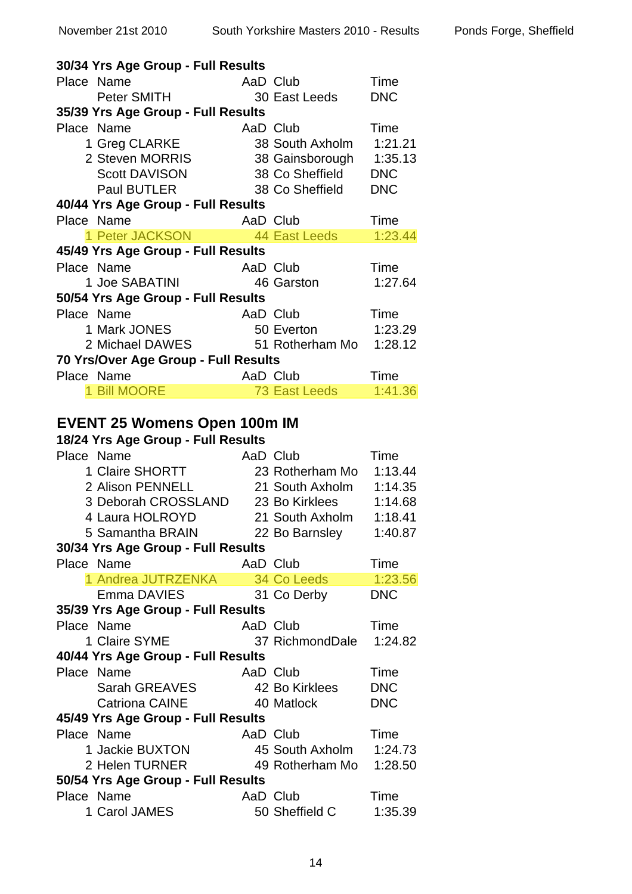|            | 30/34 Yrs Age Group - Full Results         |          |                         |            |
|------------|--------------------------------------------|----------|-------------------------|------------|
| Place Name |                                            | AaD Club |                         | Time       |
|            | Peter SMITH                                |          | 30 East Leeds           | <b>DNC</b> |
|            | 35/39 Yrs Age Group - Full Results         |          |                         |            |
| Place Name |                                            | AaD Club |                         | Time       |
|            | 1 Greg CLARKE                              |          | 38 South Axholm         | 1:21.21    |
|            | 2 Steven MORRIS                            |          | 38 Gainsborough         | 1:35.13    |
|            | <b>Scott DAVISON</b>                       |          | 38 Co Sheffield         | <b>DNC</b> |
|            | <b>Paul BUTLER</b>                         |          | 38 Co Sheffield         | <b>DNC</b> |
|            | 40/44 Yrs Age Group - Full Results         |          |                         |            |
| Place Name |                                            | AaD Club |                         | Time       |
|            | 1 Peter JACKSON 44 East Leeds              |          |                         | 1:23.44    |
|            | 45/49 Yrs Age Group - Full Results         |          |                         |            |
| Place Name |                                            | AaD Club |                         | Time       |
|            | 1 Joe SABATINI                             |          | 46 Garston              | 1:27.64    |
|            | 50/54 Yrs Age Group - Full Results         |          |                         |            |
| Place Name |                                            | AaD Club |                         | Time       |
|            | e Name<br>1 Mark JONES                     |          | 50 Everton              | 1:23.29    |
|            | 2 Michael DAWES 51 Rotherham Mo 1:28.12    |          |                         |            |
|            |                                            |          |                         |            |
|            | 70 Yrs/Over Age Group - Full Results       |          |                         |            |
| Place Name |                                            |          | AaD Club                | Time       |
|            | 1 Bill MOORE                               |          | 73 East Leeds           | 1:41.36    |
|            |                                            |          |                         |            |
|            | <b>EVENT 25 Womens Open 100m IM</b>        |          |                         |            |
|            | 18/24 Yrs Age Group - Full Results         |          |                         |            |
| Place Name |                                            | AaD Club |                         | Time       |
|            | 1 Claire SHORTT                            |          | 23 Rotherham Mo         | 1:13.44    |
|            | 2 Alison PENNELL                           |          | 21 South Axholm         | 1:14.35    |
|            | 3 Deborah CROSSLAND 23 Bo Kirklees 1:14.68 |          |                         |            |
|            | 4 Laura HOLROYD                            |          | 21 South Axholm 1:18.41 |            |
|            | 5 Samantha BRAIN 22 Bo Barnsley 1:40.87    |          |                         |            |
|            | 30/34 Yrs Age Group - Full Results         |          |                         |            |
| Place Name |                                            | AaD Club |                         | Time       |
|            | 1 Andrea JUTRZENKA 34 Co Leeds             |          |                         | 1:23.56    |
|            | Emma DAVIES 31 Co Derby                    |          |                         | <b>DNC</b> |
|            | 35/39 Yrs Age Group - Full Results         |          |                         |            |
| Place Name |                                            | AaD Club |                         | Time       |
|            | 1 Claire SYME                              |          | 37 RichmondDale 1:24.82 |            |
|            | 40/44 Yrs Age Group - Full Results         |          |                         |            |
| Place Name |                                            |          | AaD Club                | Time       |
|            | Sarah GREAVES                              |          | 42 Bo Kirklees          | <b>DNC</b> |
|            | <b>Catriona CAINE</b>                      |          | 40 Matlock              | <b>DNC</b> |
|            | 45/49 Yrs Age Group - Full Results         |          |                         |            |
| Place Name |                                            |          | AaD Club                | Time       |
|            | 1 Jackie BUXTON                            |          | 45 South Axholm 1:24.73 |            |
|            | 2 Helen TURNER 49 Rotherham Mo 1:28.50     |          |                         |            |
|            | 50/54 Yrs Age Group - Full Results         |          |                         |            |
| Place Name |                                            | AaD Club |                         | Time       |
|            | 1 Carol JAMES                              |          | 50 Sheffield C          | 1:35.39    |
|            |                                            |          |                         |            |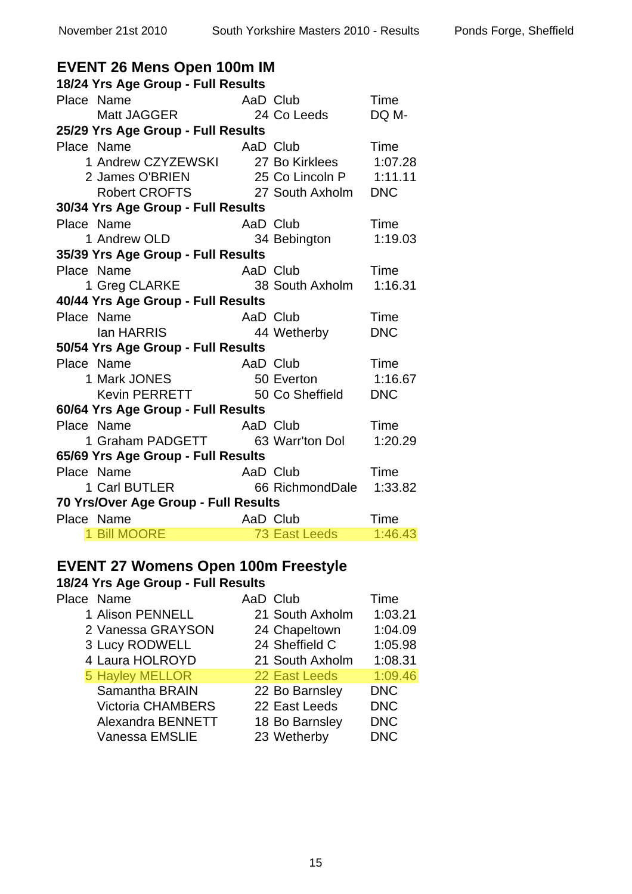| <b>EVENT 26 Mens Open 100m IM</b>                                                                            |               |            |  |  |
|--------------------------------------------------------------------------------------------------------------|---------------|------------|--|--|
| 18/24 Yrs Age Group - Full Results                                                                           |               |            |  |  |
| Place Name                                                                                                   | AaD Club      | Time       |  |  |
| Name<br>Matt JAGGER                                                                                          | 24 Co Leeds   | DQ M-      |  |  |
| 25/29 Yrs Age Group - Full Results                                                                           |               |            |  |  |
| Place Name                                                                                                   | AaD Club      | Time       |  |  |
| e Name                           AaD  Club<br>1 Andrew CZYZEWSKI         27 Bo Kirklees                      |               | 1:07.28    |  |  |
|                                                                                                              |               |            |  |  |
| 2 James O'BRIEN 25 Co Lincoln P 1:11.11<br>Robert CROFTS 27 South Axholm DNC                                 |               |            |  |  |
| 30/34 Yrs Age Group - Full Results                                                                           |               |            |  |  |
| Place Name                                                                                                   |               | Time       |  |  |
| e Name                                     AaD Club<br>1 Andrew OLD                             34 Bebington |               | 1:19.03    |  |  |
| 35/39 Yrs Age Group - Full Results                                                                           |               |            |  |  |
| Place Name                                                                                                   | AaD Club      | Time       |  |  |
| 1 Greg CLARKE 38 South Axholm                                                                                |               | 1:16.31    |  |  |
| 40/44 Yrs Age Group - Full Results                                                                           |               |            |  |  |
| Place Name<br>Name AaD Club<br>Ian HARRIS 44 Wetherby                                                        |               | Time       |  |  |
|                                                                                                              |               | <b>DNC</b> |  |  |
| 50/54 Yrs Age Group - Full Results                                                                           |               |            |  |  |
| Place Name<br>P Name AaD Club<br>1 Mark JONES 50 Everton<br>Kevin PERRETT 50 Co Sheffield                    |               | Time       |  |  |
|                                                                                                              |               | 1:16.67    |  |  |
|                                                                                                              |               | <b>DNC</b> |  |  |
| 60/64 Yrs Age Group - Full Results                                                                           |               |            |  |  |
| Place Name                                                                                                   | AaD Club      | Time       |  |  |
| 1 Graham PADGETT 63 Warr'ton Dol                                                                             |               | 1:20.29    |  |  |
| 65/69 Yrs Age Group - Full Results                                                                           |               |            |  |  |
| Place Name                                                                                                   |               |            |  |  |
|                                                                                                              |               |            |  |  |
| 70 Yrs/Over Age Group - Full Results                                                                         |               |            |  |  |
| Place Name                                                                                                   | AaD Club      | Time       |  |  |
| 1 Bill MOORE                                                                                                 | 73 East Leeds | 1:46.43    |  |  |
|                                                                                                              |               |            |  |  |

### **EVENT 27 Womens Open 100m Freestyle**

| Place Name               | AaD Club        | Time       |
|--------------------------|-----------------|------------|
| 1 Alison PENNELL         | 21 South Axholm | 1:03.21    |
| 2 Vanessa GRAYSON        | 24 Chapeltown   | 1:04.09    |
| 3 Lucy RODWELL           | 24 Sheffield C  | 1:05.98    |
| 4 Laura HOLROYD          | 21 South Axholm | 1:08.31    |
| <b>5 Hayley MELLOR</b>   | 22 East Leeds   | 1:09.46    |
| Samantha BRAIN           | 22 Bo Barnsley  | <b>DNC</b> |
| <b>Victoria CHAMBERS</b> | 22 East Leeds   | <b>DNC</b> |
| Alexandra BENNETT        | 18 Bo Barnsley  | <b>DNC</b> |
| <b>Vanessa EMSLIE</b>    | 23 Wetherby     | <b>DNC</b> |
|                          |                 |            |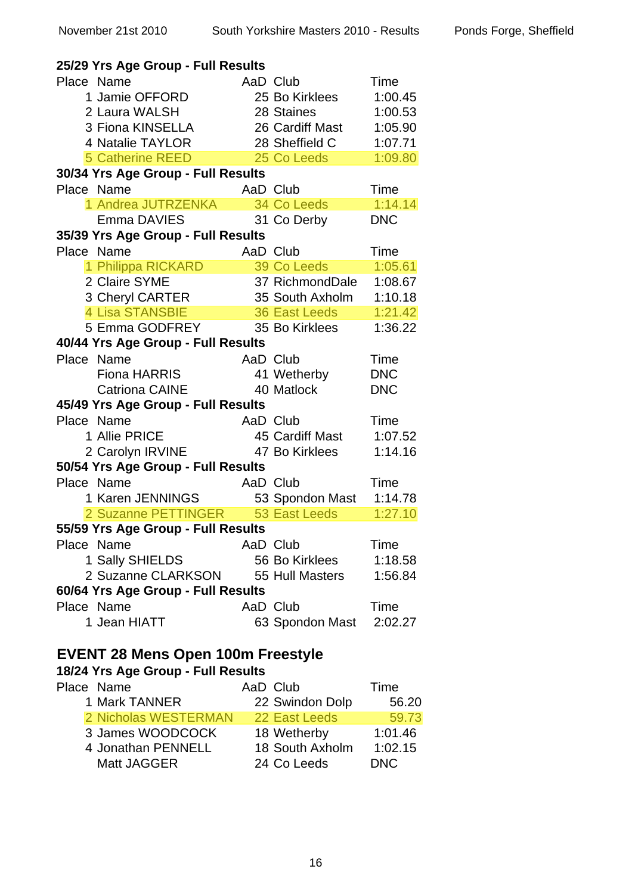| 25/29 Yrs Age Group - Full Results |          |                    |            |
|------------------------------------|----------|--------------------|------------|
| Place Name                         |          | AaD Club           | Time       |
| 1 Jamie OFFORD                     |          | 25 Bo Kirklees     | 1:00.45    |
| 2 Laura WALSH                      |          | 28 Staines         | 1:00.53    |
| 3 Fiona KINSELLA                   |          | 26 Cardiff Mast    | 1:05.90    |
| 4 Natalie TAYLOR                   |          | 28 Sheffield C     | 1:07.71    |
| <b>5 Catherine REED</b>            |          | 25 Co Leeds        | 1:09.80    |
| 30/34 Yrs Age Group - Full Results |          |                    |            |
| Place Name                         |          | AaD Club           | Time       |
| 1 Andrea JUTRZENKA                 |          | <b>34 Co Leeds</b> | 1:14.14    |
| Emma DAVIES                        |          | 31 Co Derby        | <b>DNC</b> |
| 35/39 Yrs Age Group - Full Results |          |                    |            |
| Place Name                         |          | AaD Club           | Time       |
| 1 Philippa RICKARD                 |          | 39 Co Leeds        | 1:05.61    |
| 2 Claire SYME                      |          | 37 RichmondDale    | 1:08.67    |
| 3 Cheryl CARTER                    |          | 35 South Axholm    | 1:10.18    |
| 4 Lisa STANSBIE                    |          | 36 East Leeds      | 1:21.42    |
| 5 Emma GODFREY                     |          | 35 Bo Kirklees     | 1:36.22    |
| 40/44 Yrs Age Group - Full Results |          |                    |            |
|                                    |          |                    |            |
| Place Name                         | AaD Club |                    | Time       |
| Fiona HARRIS                       |          | 41 Wetherby        | <b>DNC</b> |
| <b>Catriona CAINE</b>              |          | 40 Matlock         | <b>DNC</b> |
| 45/49 Yrs Age Group - Full Results |          |                    |            |
| Place Name                         | AaD Club |                    | Time       |
| 1 Allie PRICE                      |          | 45 Cardiff Mast    | 1:07.52    |
| 2 Carolyn IRVINE                   |          | 47 Bo Kirklees     | 1:14.16    |
| 50/54 Yrs Age Group - Full Results |          |                    |            |
| Place Name                         |          | AaD Club           | Time       |
| 1 Karen JENNINGS                   |          | 53 Spondon Mast    | 1:14.78    |
| 2 Suzanne PETTINGER                |          | 53 East Leeds      | 1:27.10    |
| 55/59 Yrs Age Group - Full Results |          |                    |            |
| Place Name                         | AaD Club |                    | Time       |
| 1 Sally SHIELDS                    |          | 56 Bo Kirklees     | 1:18.58    |
| 2 Suzanne CLARKSON                 |          | 55 Hull Masters    | 1:56.84    |
| 60/64 Yrs Age Group - Full Results |          |                    |            |
| Place Name                         | AaD Club |                    | Time       |
| 1 Jean HIATT                       |          | 63 Spondon Mast    | 2:02.27    |

#### **EVENT 28 Mens Open 100m Freestyle**

| Place Name           | AaD Club        | Time    |
|----------------------|-----------------|---------|
| 1 Mark TANNER        | 22 Swindon Dolp | 56.20   |
| 2 Nicholas WESTERMAN | 22 East Leeds   | 59.73   |
| 3 James WOODCOCK     | 18 Wetherby     | 1:01.46 |
| 4 Jonathan PENNELL   | 18 South Axholm | 1:02.15 |
| Matt JAGGER          | 24 Co Leeds     | DNC.    |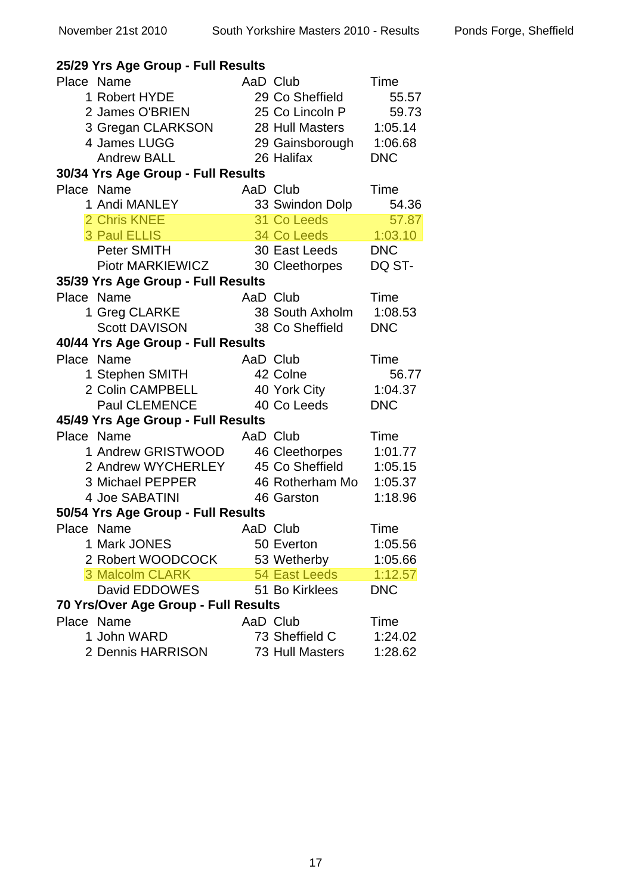| 25/29 Yrs Age Group - Full Results   |          |                       |             |  |
|--------------------------------------|----------|-----------------------|-------------|--|
| Place Name                           |          | AaD Club              | Time        |  |
| 1 Robert HYDE                        |          | 29 Co Sheffield       | 55.57       |  |
| 2 James O'BRIEN                      |          | 25 Co Lincoln P       | 59.73       |  |
| 3 Gregan CLARKSON                    |          | 28 Hull Masters       | 1:05.14     |  |
| 4 James LUGG                         |          | 29 Gainsborough       | 1:06.68     |  |
| <b>Andrew BALL</b>                   |          | 26 Halifax            | <b>DNC</b>  |  |
| 30/34 Yrs Age Group - Full Results   |          |                       |             |  |
| Place Name                           | AaD Club |                       | Time        |  |
| 1 Andi MANLEY                        |          | 33 Swindon Dolp       | 54.36       |  |
| 2 Chris KNEE                         |          | 31 Co Leeds           | 57.87       |  |
| <b>3 Paul ELLIS</b>                  |          | 34 Co Leeds   1:03.10 |             |  |
| Peter SMITH                          |          | 30 East Leeds         | <b>DNC</b>  |  |
| Piotr MARKIEWICZ                     |          | 30 Cleethorpes        | DQ ST-      |  |
| 35/39 Yrs Age Group - Full Results   |          |                       |             |  |
| Place Name                           | AaD Club |                       | Time        |  |
| 1 Greg CLARKE                        |          | 38 South Axholm       | 1:08.53     |  |
| Scott DAVISON                        |          | 38 Co Sheffield       | <b>DNC</b>  |  |
| 40/44 Yrs Age Group - Full Results   |          |                       |             |  |
| Place Name                           |          | AaD Club              | Time        |  |
| 1 Stephen SMITH                      |          | 42 Colne              | 56.77       |  |
| 2 Colin CAMPBELL                     |          | 40 York City          | 1:04.37     |  |
| Paul CLEMENCE                        |          | 40 Co Leeds           | <b>DNC</b>  |  |
| 45/49 Yrs Age Group - Full Results   |          |                       |             |  |
| Place Name                           |          | AaD Club              | Time        |  |
| 1 Andrew GRISTWOOD                   |          | 46 Cleethorpes        | 1:01.77     |  |
| 2 Andrew WYCHERLEY 45 Co Sheffield   |          |                       | 1:05.15     |  |
| 3 Michael PEPPER                     |          | 46 Rotherham Mo       | 1:05.37     |  |
| 4 Joe SABATINI                       |          | 46 Garston            | 1:18.96     |  |
| 50/54 Yrs Age Group - Full Results   |          |                       |             |  |
| Place Name                           | AaD Club |                       | <b>Time</b> |  |
| 1 Mark JONES                         |          | 50 Everton            | 1:05.56     |  |
| 2 Robert WOODCOCK                    |          | 53 Wetherby           | 1:05.66     |  |
| 3 Malcolm CLARK                      |          | 54 East Leeds         | 1:12.57     |  |
| David EDDOWES                        |          | 51 Bo Kirklees        | <b>DNC</b>  |  |
| 70 Yrs/Over Age Group - Full Results |          |                       |             |  |
| Place Name                           |          | AaD Club              | Time        |  |
| 1 John WARD                          |          | 73 Sheffield C        | 1:24.02     |  |
| 2 Dennis HARRISON                    |          | 73 Hull Masters       | 1:28.62     |  |